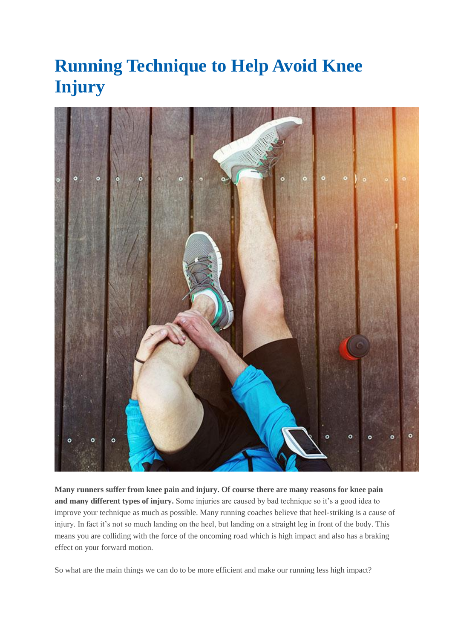## **Running Technique to Help Avoid Knee Injury**



**Many runners suffer from knee pain and injury. Of course there are many reasons for knee pain and many different types of injury.** Some injuries are caused by bad technique so it's a good idea to improve your technique as much as possible. Many running coaches believe that heel-striking is a cause of injury. In fact it's not so much landing on the heel, but landing on a straight leg in front of the body. This means you are colliding with the force of the oncoming road which is high impact and also has a braking effect on your forward motion.

So what are the main things we can do to be more efficient and make our running less high impact?